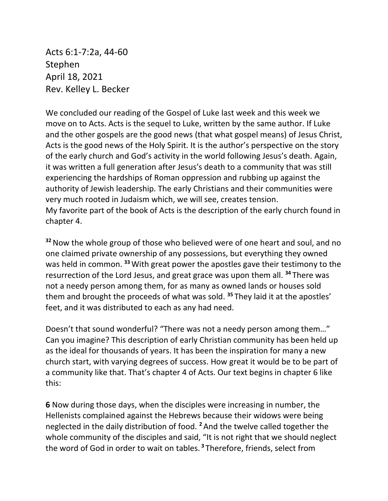Acts 6:1-7:2a, 44-60 Stephen April 18, 2021 Rev. Kelley L. Becker

We concluded our reading of the Gospel of Luke last week and this week we move on to Acts. Acts is the sequel to Luke, written by the same author. If Luke and the other gospels are the good news (that what gospel means) of Jesus Christ, Acts is the good news of the Holy Spirit. It is the author's perspective on the story of the early church and God's activity in the world following Jesus's death. Again, it was written a full generation after Jesus's death to a community that was still experiencing the hardships of Roman oppression and rubbing up against the authority of Jewish leadership. The early Christians and their communities were very much rooted in Judaism which, we will see, creates tension. My favorite part of the book of Acts is the description of the early church found in chapter 4.

**<sup>32</sup>**Now the whole group of those who believed were of one heart and soul, and no one claimed private ownership of any possessions, but everything they owned was held in common. **<sup>33</sup>**With great power the apostles gave their testimony to the resurrection of the Lord Jesus, and great grace was upon them all. **<sup>34</sup>** There was not a needy person among them, for as many as owned lands or houses sold them and brought the proceeds of what was sold. **<sup>35</sup>** They laid it at the apostles' feet, and it was distributed to each as any had need.

Doesn't that sound wonderful? "There was not a needy person among them…" Can you imagine? This description of early Christian community has been held up as the ideal for thousands of years. It has been the inspiration for many a new church start, with varying degrees of success. How great it would be to be part of a community like that. That's chapter 4 of Acts. Our text begins in chapter 6 like this:

**6** Now during those days, when the disciples were increasing in number, the Hellenists complained against the Hebrews because their widows were being neglected in the daily distribution of food. **<sup>2</sup>** And the twelve called together the whole community of the disciples and said, "It is not right that we should neglect the word of God in order to wait on tables. **<sup>3</sup>** Therefore, friends, select from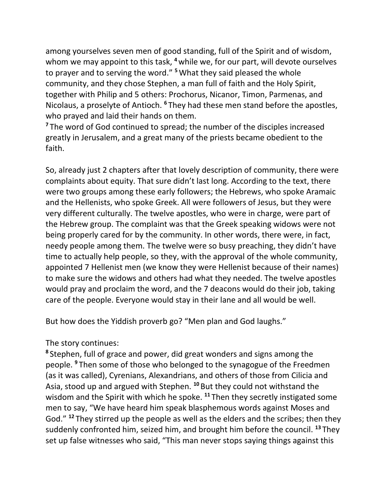among yourselves seven men of good standing, full of the Spirit and of wisdom, whom we may appoint to this task, <sup>4</sup> while we, for our part, will devote ourselves to prayer and to serving the word." **<sup>5</sup>**What they said pleased the whole community, and they chose Stephen, a man full of faith and the Holy Spirit, together with Philip and 5 others: Prochorus, Nicanor, Timon, Parmenas, and Nicolaus, a proselyte of Antioch. **<sup>6</sup>** They had these men stand before the apostles, who prayed and laid their hands on them.

**<sup>7</sup>** The word of God continued to spread; the number of the disciples increased greatly in Jerusalem, and a great many of the priests became obedient to the faith.

So, already just 2 chapters after that lovely description of community, there were complaints about equity. That sure didn't last long. According to the text, there were two groups among these early followers; the Hebrews, who spoke Aramaic and the Hellenists, who spoke Greek. All were followers of Jesus, but they were very different culturally. The twelve apostles, who were in charge, were part of the Hebrew group. The complaint was that the Greek speaking widows were not being properly cared for by the community. In other words, there were, in fact, needy people among them. The twelve were so busy preaching, they didn't have time to actually help people, so they, with the approval of the whole community, appointed 7 Hellenist men (we know they were Hellenist because of their names) to make sure the widows and others had what they needed. The twelve apostles would pray and proclaim the word, and the 7 deacons would do their job, taking care of the people. Everyone would stay in their lane and all would be well.

But how does the Yiddish proverb go? "Men plan and God laughs."

The story continues:

**8** Stephen, full of grace and power, did great wonders and signs among the people. **<sup>9</sup>** Then some of those who belonged to the synagogue of the Freedmen (as it was called), Cyrenians, Alexandrians, and others of those from Cilicia and Asia, stood up and argued with Stephen. **<sup>10</sup>** But they could not withstand the wisdom and the Spirit with which he spoke. **<sup>11</sup>** Then they secretly instigated some men to say, "We have heard him speak blasphemous words against Moses and God." **<sup>12</sup>** They stirred up the people as well as the elders and the scribes; then they suddenly confronted him, seized him, and brought him before the council. **<sup>13</sup>** They set up false witnesses who said, "This man never stops saying things against this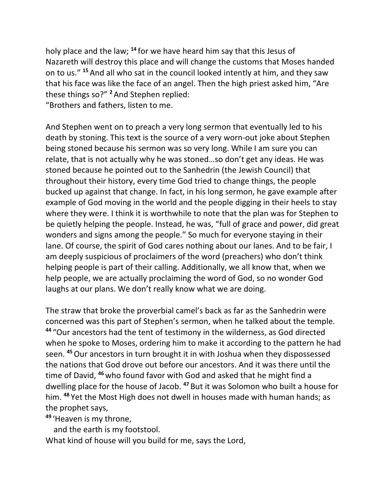holy place and the law; **<sup>14</sup>** for we have heard him say that this Jesus of Nazareth will destroy this place and will change the customs that Moses handed on to us." **<sup>15</sup>** And all who sat in the council looked intently at him, and they saw that his face was like the face of an angel. Then the high priest asked him, "Are these things so?" **<sup>2</sup>** And Stephen replied: "Brothers and fathers, listen to me.

And Stephen went on to preach a very long sermon that eventually led to his death by stoning. This text is the source of a very worn-out joke about Stephen being stoned because his sermon was so very long. While I am sure you can relate, that is not actually why he was stoned…so don't get any ideas. He was stoned because he pointed out to the Sanhedrin (the Jewish Council) that throughout their history, every time God tried to change things, the people bucked up against that change. In fact, in his long sermon, he gave example after example of God moving in the world and the people digging in their heels to stay where they were. I think it is worthwhile to note that the plan was for Stephen to be quietly helping the people. Instead, he was, "full of grace and power, did great wonders and signs among the people." So much for everyone staying in their lane. Of course, the spirit of God cares nothing about our lanes. And to be fair, I am deeply suspicious of proclaimers of the word (preachers) who don't think helping people is part of their calling. Additionally, we all know that, when we help people, we are actually proclaiming the word of God, so no wonder God laughs at our plans. We don't really know what we are doing.

The straw that broke the proverbial camel's back as far as the Sanhedrin were concerned was this part of Stephen's sermon, when he talked about the temple. **<sup>44</sup>** "Our ancestors had the tent of testimony in the wilderness, as God directed when he spoke to Moses, ordering him to make it according to the pattern he had seen. **<sup>45</sup>**Our ancestors in turn brought it in with Joshua when they dispossessed the nations that God drove out before our ancestors. And it was there until the time of David, **<sup>46</sup>** who found favor with God and asked that he might find a dwelling place for the house of Jacob. **<sup>47</sup>** But it was Solomon who built a house for him. **<sup>48</sup>** Yet the Most High does not dwell in houses made with human hands; as the prophet says,

**<sup>49</sup>** 'Heaven is my throne,

and the earth is my footstool.

What kind of house will you build for me, says the Lord,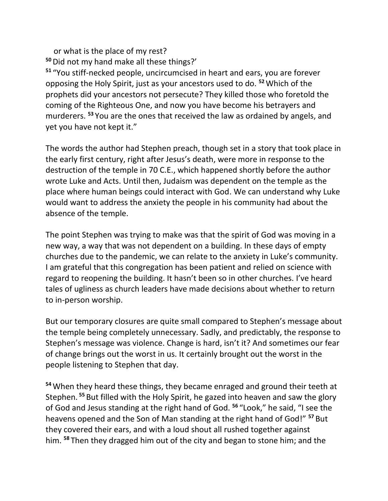or what is the place of my rest? **<sup>50</sup>**Did not my hand make all these things?'

**<sup>51</sup>** "You stiff-necked people, uncircumcised in heart and ears, you are forever opposing the Holy Spirit, just as your ancestors used to do. **<sup>52</sup>**Which of the prophets did your ancestors not persecute? They killed those who foretold the coming of the Righteous One, and now you have become his betrayers and murderers. **<sup>53</sup>** You are the ones that received the law as ordained by angels, and yet you have not kept it."

The words the author had Stephen preach, though set in a story that took place in the early first century, right after Jesus's death, were more in response to the destruction of the temple in 70 C.E., which happened shortly before the author wrote Luke and Acts. Until then, Judaism was dependent on the temple as the place where human beings could interact with God. We can understand why Luke would want to address the anxiety the people in his community had about the absence of the temple.

The point Stephen was trying to make was that the spirit of God was moving in a new way, a way that was not dependent on a building. In these days of empty churches due to the pandemic, we can relate to the anxiety in Luke's community. I am grateful that this congregation has been patient and relied on science with regard to reopening the building. It hasn't been so in other churches. I've heard tales of ugliness as church leaders have made decisions about whether to return to in-person worship.

But our temporary closures are quite small compared to Stephen's message about the temple being completely unnecessary. Sadly, and predictably, the response to Stephen's message was violence. Change is hard, isn't it? And sometimes our fear of change brings out the worst in us. It certainly brought out the worst in the people listening to Stephen that day.

**<sup>54</sup>**When they heard these things, they became enraged and ground their teeth at Stephen. **<sup>55</sup>** But filled with the Holy Spirit, he gazed into heaven and saw the glory of God and Jesus standing at the right hand of God. **<sup>56</sup>** "Look," he said, "I see the heavens opened and the Son of Man standing at the right hand of God!" **<sup>57</sup>** But they covered their ears, and with a loud shout all rushed together against him. **<sup>58</sup>** Then they dragged him out of the city and began to stone him; and the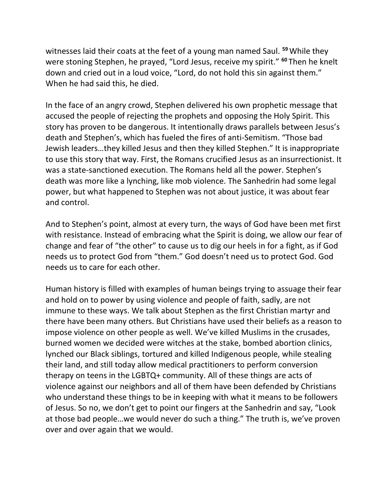witnesses laid their coats at the feet of a young man named Saul. **<sup>59</sup>**While they were stoning Stephen, he prayed, "Lord Jesus, receive my spirit." **<sup>60</sup>** Then he knelt down and cried out in a loud voice, "Lord, do not hold this sin against them." When he had said this, he died.

In the face of an angry crowd, Stephen delivered his own prophetic message that accused the people of rejecting the prophets and opposing the Holy Spirit. This story has proven to be dangerous. It intentionally draws parallels between Jesus's death and Stephen's, which has fueled the fires of anti-Semitism. "Those bad Jewish leaders…they killed Jesus and then they killed Stephen." It is inappropriate to use this story that way. First, the Romans crucified Jesus as an insurrectionist. It was a state-sanctioned execution. The Romans held all the power. Stephen's death was more like a lynching, like mob violence. The Sanhedrin had some legal power, but what happened to Stephen was not about justice, it was about fear and control.

And to Stephen's point, almost at every turn, the ways of God have been met first with resistance. Instead of embracing what the Spirit is doing, we allow our fear of change and fear of "the other" to cause us to dig our heels in for a fight, as if God needs us to protect God from "them." God doesn't need us to protect God. God needs us to care for each other.

Human history is filled with examples of human beings trying to assuage their fear and hold on to power by using violence and people of faith, sadly, are not immune to these ways. We talk about Stephen as the first Christian martyr and there have been many others. But Christians have used their beliefs as a reason to impose violence on other people as well. We've killed Muslims in the crusades, burned women we decided were witches at the stake, bombed abortion clinics, lynched our Black siblings, tortured and killed Indigenous people, while stealing their land, and still today allow medical practitioners to perform conversion therapy on teens in the LGBTQ+ community. All of these things are acts of violence against our neighbors and all of them have been defended by Christians who understand these things to be in keeping with what it means to be followers of Jesus. So no, we don't get to point our fingers at the Sanhedrin and say, "Look at those bad people…we would never do such a thing." The truth is, we've proven over and over again that we would.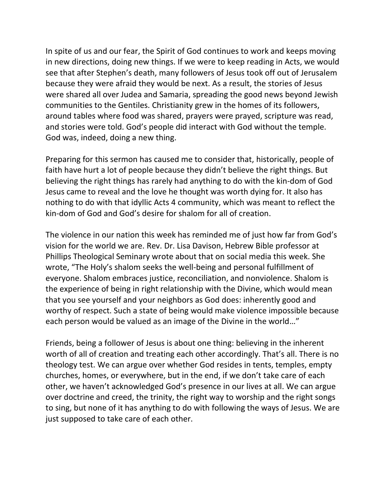In spite of us and our fear, the Spirit of God continues to work and keeps moving in new directions, doing new things. If we were to keep reading in Acts, we would see that after Stephen's death, many followers of Jesus took off out of Jerusalem because they were afraid they would be next. As a result, the stories of Jesus were shared all over Judea and Samaria, spreading the good news beyond Jewish communities to the Gentiles. Christianity grew in the homes of its followers, around tables where food was shared, prayers were prayed, scripture was read, and stories were told. God's people did interact with God without the temple. God was, indeed, doing a new thing.

Preparing for this sermon has caused me to consider that, historically, people of faith have hurt a lot of people because they didn't believe the right things. But believing the right things has rarely had anything to do with the kin-dom of God Jesus came to reveal and the love he thought was worth dying for. It also has nothing to do with that idyllic Acts 4 community, which was meant to reflect the kin-dom of God and God's desire for shalom for all of creation.

The violence in our nation this week has reminded me of just how far from God's vision for the world we are. Rev. Dr. Lisa Davison, Hebrew Bible professor at Phillips Theological Seminary wrote about that on social media this week. She wrote, "The Holy's shalom seeks the well-being and personal fulfillment of everyone. Shalom embraces justice, reconciliation, and nonviolence. Shalom is the experience of being in right relationship with the Divine, which would mean that you see yourself and your neighbors as God does: inherently good and worthy of respect. Such a state of being would make violence impossible because each person would be valued as an image of the Divine in the world…"

Friends, being a follower of Jesus is about one thing: believing in the inherent worth of all of creation and treating each other accordingly. That's all. There is no theology test. We can argue over whether God resides in tents, temples, empty churches, homes, or everywhere, but in the end, if we don't take care of each other, we haven't acknowledged God's presence in our lives at all. We can argue over doctrine and creed, the trinity, the right way to worship and the right songs to sing, but none of it has anything to do with following the ways of Jesus. We are just supposed to take care of each other.